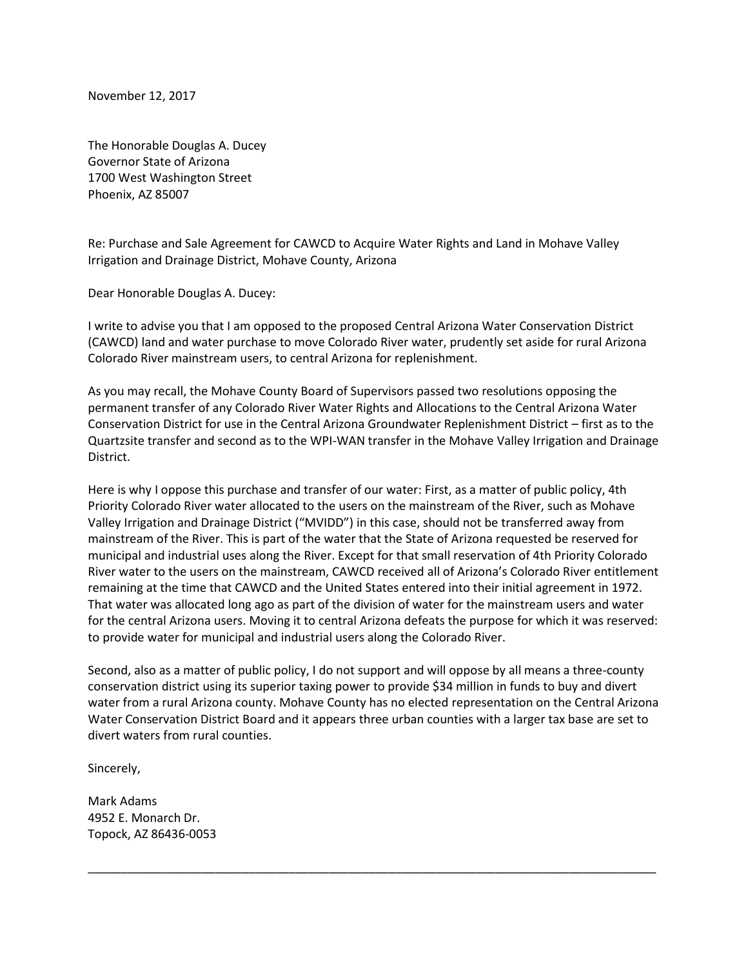November 12, 2017

The Honorable Douglas A. Ducey Governor State of Arizona 1700 West Washington Street Phoenix, AZ 85007

Re: Purchase and Sale Agreement for CAWCD to Acquire Water Rights and Land in Mohave Valley Irrigation and Drainage District, Mohave County, Arizona

Dear Honorable Douglas A. Ducey:

I write to advise you that I am opposed to the proposed Central Arizona Water Conservation District (CAWCD) land and water purchase to move Colorado River water, prudently set aside for rural Arizona Colorado River mainstream users, to central Arizona for replenishment.

As you may recall, the Mohave County Board of Supervisors passed two resolutions opposing the permanent transfer of any Colorado River Water Rights and Allocations to the Central Arizona Water Conservation District for use in the Central Arizona Groundwater Replenishment District – first as to the Quartzsite transfer and second as to the WPI-WAN transfer in the Mohave Valley Irrigation and Drainage District.

Here is why I oppose this purchase and transfer of our water: First, as a matter of public policy, 4th Priority Colorado River water allocated to the users on the mainstream of the River, such as Mohave Valley Irrigation and Drainage District ("MVIDD") in this case, should not be transferred away from mainstream of the River. This is part of the water that the State of Arizona requested be reserved for municipal and industrial uses along the River. Except for that small reservation of 4th Priority Colorado River water to the users on the mainstream, CAWCD received all of Arizona's Colorado River entitlement remaining at the time that CAWCD and the United States entered into their initial agreement in 1972. That water was allocated long ago as part of the division of water for the mainstream users and water for the central Arizona users. Moving it to central Arizona defeats the purpose for which it was reserved: to provide water for municipal and industrial users along the Colorado River.

Second, also as a matter of public policy, I do not support and will oppose by all means a three-county conservation district using its superior taxing power to provide \$34 million in funds to buy and divert water from a rural Arizona county. Mohave County has no elected representation on the Central Arizona Water Conservation District Board and it appears three urban counties with a larger tax base are set to divert waters from rural counties.

\_\_\_\_\_\_\_\_\_\_\_\_\_\_\_\_\_\_\_\_\_\_\_\_\_\_\_\_\_\_\_\_\_\_\_\_\_\_\_\_\_\_\_\_\_\_\_\_\_\_\_\_\_\_\_\_\_\_\_\_\_\_\_\_\_\_\_\_\_\_\_\_\_\_\_\_\_\_\_\_\_\_\_\_\_

Sincerely,

Mark Adams 4952 E. Monarch Dr. Topock, AZ 86436-0053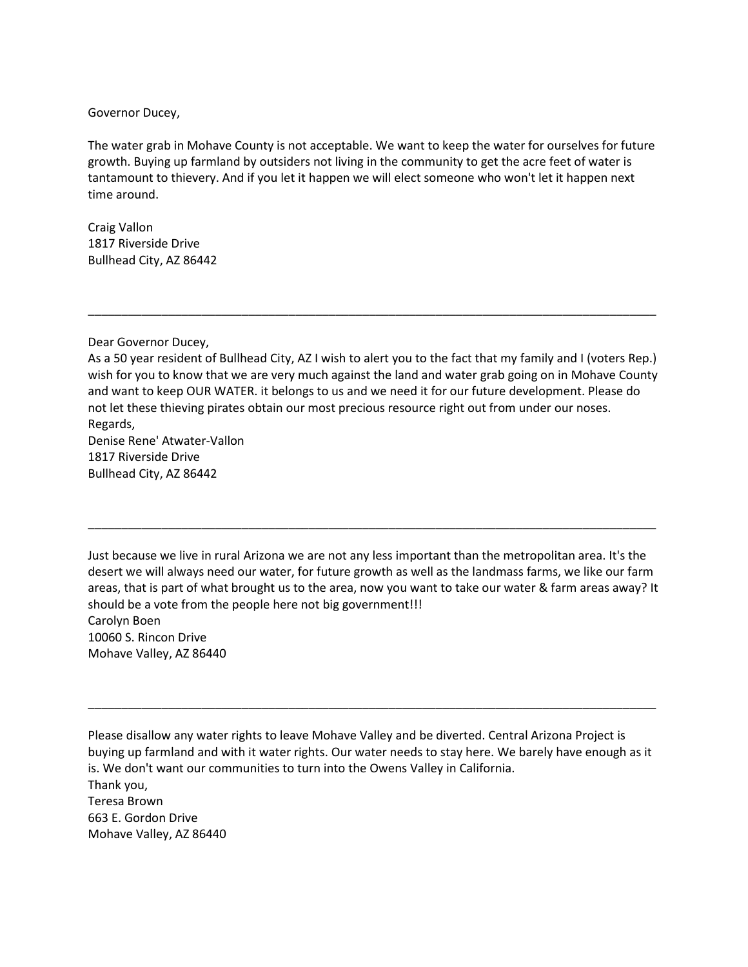## Governor Ducey,

The water grab in Mohave County is not acceptable. We want to keep the water for ourselves for future growth. Buying up farmland by outsiders not living in the community to get the acre feet of water is tantamount to thievery. And if you let it happen we will elect someone who won't let it happen next time around.

Craig Vallon 1817 Riverside Drive Bullhead City, AZ 86442

Dear Governor Ducey,

As a 50 year resident of Bullhead City, AZ I wish to alert you to the fact that my family and I (voters Rep.) wish for you to know that we are very much against the land and water grab going on in Mohave County and want to keep OUR WATER. it belongs to us and we need it for our future development. Please do not let these thieving pirates obtain our most precious resource right out from under our noses. Regards,

\_\_\_\_\_\_\_\_\_\_\_\_\_\_\_\_\_\_\_\_\_\_\_\_\_\_\_\_\_\_\_\_\_\_\_\_\_\_\_\_\_\_\_\_\_\_\_\_\_\_\_\_\_\_\_\_\_\_\_\_\_\_\_\_\_\_\_\_\_\_\_\_\_\_\_\_\_\_\_\_\_\_\_\_\_

Denise Rene' Atwater-Vallon 1817 Riverside Drive Bullhead City, AZ 86442

Just because we live in rural Arizona we are not any less important than the metropolitan area. It's the desert we will always need our water, for future growth as well as the landmass farms, we like our farm areas, that is part of what brought us to the area, now you want to take our water & farm areas away? It should be a vote from the people here not big government!!! Carolyn Boen 10060 S. Rincon Drive Mohave Valley, AZ 86440

\_\_\_\_\_\_\_\_\_\_\_\_\_\_\_\_\_\_\_\_\_\_\_\_\_\_\_\_\_\_\_\_\_\_\_\_\_\_\_\_\_\_\_\_\_\_\_\_\_\_\_\_\_\_\_\_\_\_\_\_\_\_\_\_\_\_\_\_\_\_\_\_\_\_\_\_\_\_\_\_\_\_\_\_\_

Please disallow any water rights to leave Mohave Valley and be diverted. Central Arizona Project is buying up farmland and with it water rights. Our water needs to stay here. We barely have enough as it is. We don't want our communities to turn into the Owens Valley in California. Thank you, Teresa Brown 663 E. Gordon Drive Mohave Valley, AZ 86440

\_\_\_\_\_\_\_\_\_\_\_\_\_\_\_\_\_\_\_\_\_\_\_\_\_\_\_\_\_\_\_\_\_\_\_\_\_\_\_\_\_\_\_\_\_\_\_\_\_\_\_\_\_\_\_\_\_\_\_\_\_\_\_\_\_\_\_\_\_\_\_\_\_\_\_\_\_\_\_\_\_\_\_\_\_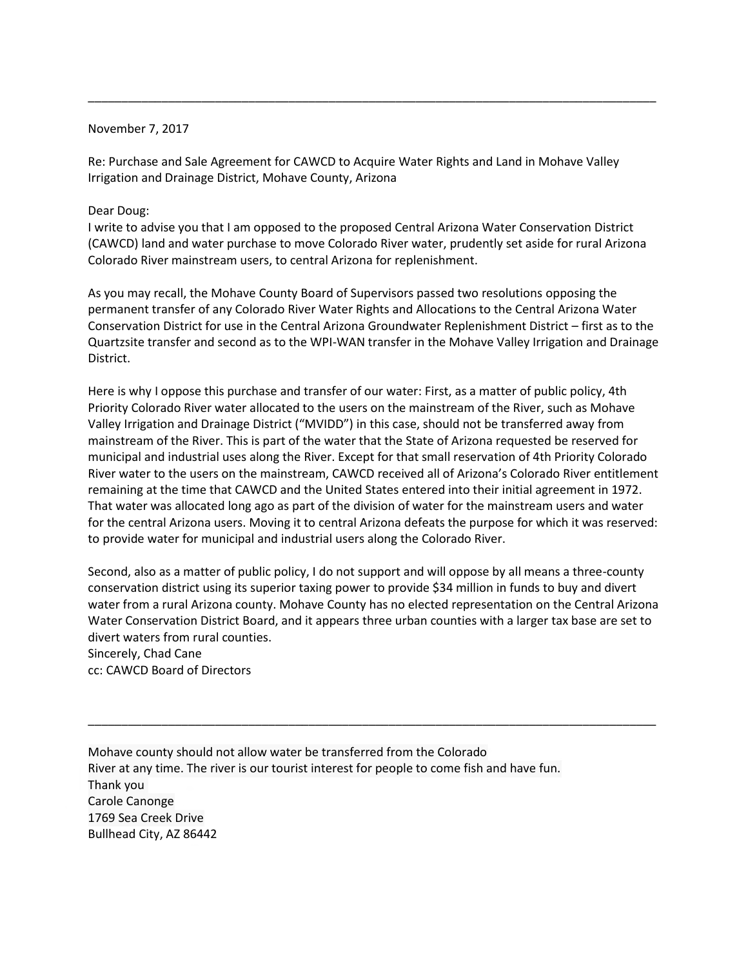## November 7, 2017

Re: Purchase and Sale Agreement for CAWCD to Acquire Water Rights and Land in Mohave Valley Irrigation and Drainage District, Mohave County, Arizona

\_\_\_\_\_\_\_\_\_\_\_\_\_\_\_\_\_\_\_\_\_\_\_\_\_\_\_\_\_\_\_\_\_\_\_\_\_\_\_\_\_\_\_\_\_\_\_\_\_\_\_\_\_\_\_\_\_\_\_\_\_\_\_\_\_\_\_\_\_\_\_\_\_\_\_\_\_\_\_\_\_\_\_\_\_

## Dear Doug:

I write to advise you that I am opposed to the proposed Central Arizona Water Conservation District (CAWCD) land and water purchase to move Colorado River water, prudently set aside for rural Arizona Colorado River mainstream users, to central Arizona for replenishment.

As you may recall, the Mohave County Board of Supervisors passed two resolutions opposing the permanent transfer of any Colorado River Water Rights and Allocations to the Central Arizona Water Conservation District for use in the Central Arizona Groundwater Replenishment District – first as to the Quartzsite transfer and second as to the WPI-WAN transfer in the Mohave Valley Irrigation and Drainage District.

Here is why I oppose this purchase and transfer of our water: First, as a matter of public policy, 4th Priority Colorado River water allocated to the users on the mainstream of the River, such as Mohave Valley Irrigation and Drainage District ("MVIDD") in this case, should not be transferred away from mainstream of the River. This is part of the water that the State of Arizona requested be reserved for municipal and industrial uses along the River. Except for that small reservation of 4th Priority Colorado River water to the users on the mainstream, CAWCD received all of Arizona's Colorado River entitlement remaining at the time that CAWCD and the United States entered into their initial agreement in 1972. That water was allocated long ago as part of the division of water for the mainstream users and water for the central Arizona users. Moving it to central Arizona defeats the purpose for which it was reserved: to provide water for municipal and industrial users along the Colorado River.

Second, also as a matter of public policy, I do not support and will oppose by all means a three-county conservation district using its superior taxing power to provide \$34 million in funds to buy and divert water from a rural Arizona county. Mohave County has no elected representation on the Central Arizona Water Conservation District Board, and it appears three urban counties with a larger tax base are set to divert waters from rural counties. Sincerely, Chad Cane

\_\_\_\_\_\_\_\_\_\_\_\_\_\_\_\_\_\_\_\_\_\_\_\_\_\_\_\_\_\_\_\_\_\_\_\_\_\_\_\_\_\_\_\_\_\_\_\_\_\_\_\_\_\_\_\_\_\_\_\_\_\_\_\_\_\_\_\_\_\_\_\_\_\_\_\_\_\_\_\_\_\_\_\_\_

cc: CAWCD Board of Directors

Mohave county should not allow water be transferred from the Colorado River at any time. The river is our tourist interest for people to come fish and have fun. Thank you Carole Canonge 1769 Sea Creek Drive Bullhead City, AZ 86442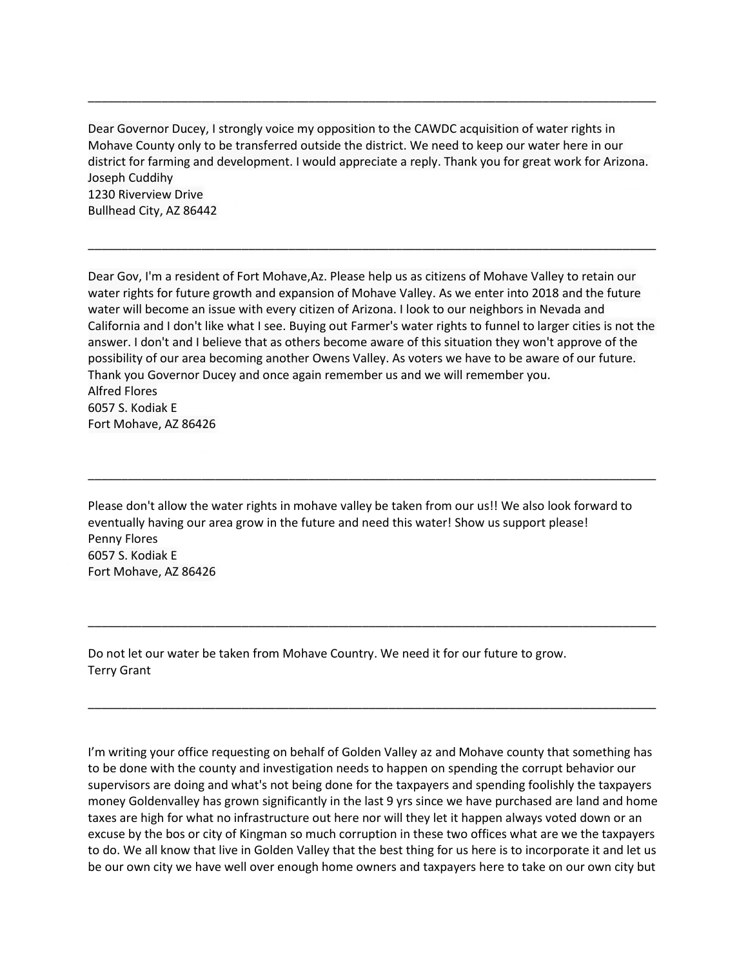Dear Governor Ducey, I strongly voice my opposition to the CAWDC acquisition of water rights in Mohave County only to be transferred outside the district. We need to keep our water here in our district for farming and development. I would appreciate a reply. Thank you for great work for Arizona. Joseph Cuddihy 1230 Riverview Drive Bullhead City, AZ 86442

\_\_\_\_\_\_\_\_\_\_\_\_\_\_\_\_\_\_\_\_\_\_\_\_\_\_\_\_\_\_\_\_\_\_\_\_\_\_\_\_\_\_\_\_\_\_\_\_\_\_\_\_\_\_\_\_\_\_\_\_\_\_\_\_\_\_\_\_\_\_\_\_\_\_\_\_\_\_\_\_\_\_\_\_\_

\_\_\_\_\_\_\_\_\_\_\_\_\_\_\_\_\_\_\_\_\_\_\_\_\_\_\_\_\_\_\_\_\_\_\_\_\_\_\_\_\_\_\_\_\_\_\_\_\_\_\_\_\_\_\_\_\_\_\_\_\_\_\_\_\_\_\_\_\_\_\_\_\_\_\_\_\_\_\_\_\_\_\_\_\_

Dear Gov, I'm a resident of Fort Mohave,Az. Please help us as citizens of Mohave Valley to retain our water rights for future growth and expansion of Mohave Valley. As we enter into 2018 and the future water will become an issue with every citizen of Arizona. I look to our neighbors in Nevada and California and I don't like what I see. Buying out Farmer's water rights to funnel to larger cities is not the answer. I don't and I believe that as others become aware of this situation they won't approve of the possibility of our area becoming another Owens Valley. As voters we have to be aware of our future. Thank you Governor Ducey and once again remember us and we will remember you. Alfred Flores 6057 S. Kodiak E Fort Mohave, AZ 86426

Please don't allow the water rights in mohave valley be taken from our us!! We also look forward to eventually having our area grow in the future and need this water! Show us support please! Penny Flores 6057 S. Kodiak E Fort Mohave, AZ 86426

\_\_\_\_\_\_\_\_\_\_\_\_\_\_\_\_\_\_\_\_\_\_\_\_\_\_\_\_\_\_\_\_\_\_\_\_\_\_\_\_\_\_\_\_\_\_\_\_\_\_\_\_\_\_\_\_\_\_\_\_\_\_\_\_\_\_\_\_\_\_\_\_\_\_\_\_\_\_\_\_\_\_\_\_\_

\_\_\_\_\_\_\_\_\_\_\_\_\_\_\_\_\_\_\_\_\_\_\_\_\_\_\_\_\_\_\_\_\_\_\_\_\_\_\_\_\_\_\_\_\_\_\_\_\_\_\_\_\_\_\_\_\_\_\_\_\_\_\_\_\_\_\_\_\_\_\_\_\_\_\_\_\_\_\_\_\_\_\_\_\_

\_\_\_\_\_\_\_\_\_\_\_\_\_\_\_\_\_\_\_\_\_\_\_\_\_\_\_\_\_\_\_\_\_\_\_\_\_\_\_\_\_\_\_\_\_\_\_\_\_\_\_\_\_\_\_\_\_\_\_\_\_\_\_\_\_\_\_\_\_\_\_\_\_\_\_\_\_\_\_\_\_\_\_\_\_

Do not let our water be taken from Mohave Country. We need it for our future to grow. Terry Grant

I'm writing your office requesting on behalf of Golden Valley az and Mohave county that something has to be done with the county and investigation needs to happen on spending the corrupt behavior our supervisors are doing and what's not being done for the taxpayers and spending foolishly the taxpayers money Goldenvalley has grown significantly in the last 9 yrs since we have purchased are land and home taxes are high for what no infrastructure out here nor will they let it happen always voted down or an excuse by the bos or city of Kingman so much corruption in these two offices what are we the taxpayers to do. We all know that live in Golden Valley that the best thing for us here is to incorporate it and let us be our own city we have well over enough home owners and taxpayers here to take on our own city but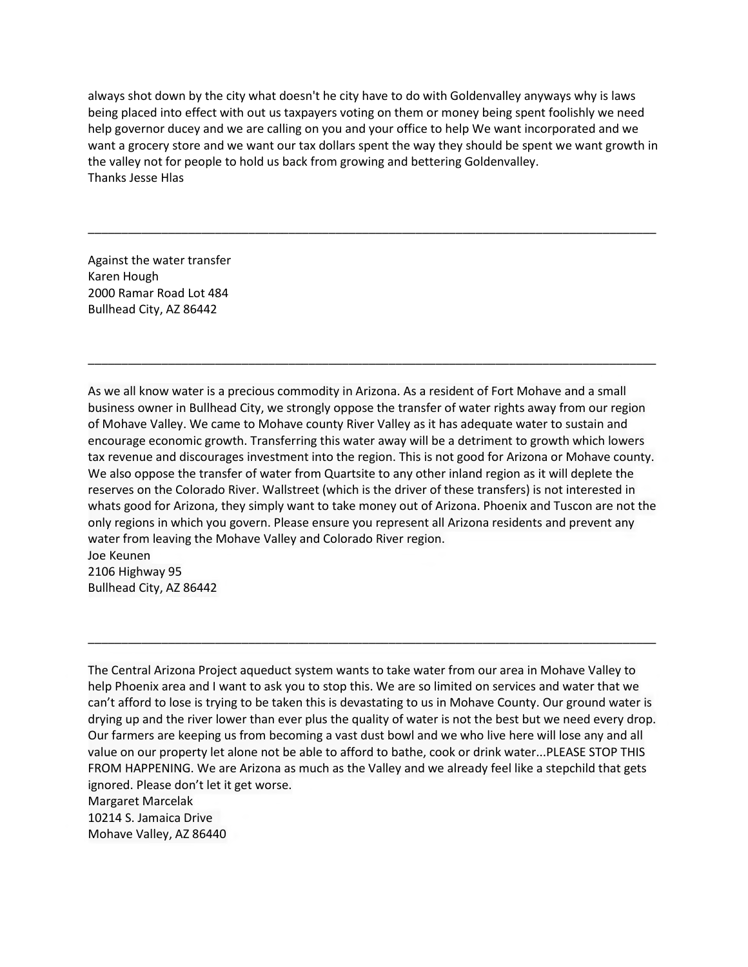always shot down by the city what doesn't he city have to do with Goldenvalley anyways why is laws being placed into effect with out us taxpayers voting on them or money being spent foolishly we need help governor ducey and we are calling on you and your office to help We want incorporated and we want a grocery store and we want our tax dollars spent the way they should be spent we want growth in the valley not for people to hold us back from growing and bettering Goldenvalley. Thanks Jesse Hlas

\_\_\_\_\_\_\_\_\_\_\_\_\_\_\_\_\_\_\_\_\_\_\_\_\_\_\_\_\_\_\_\_\_\_\_\_\_\_\_\_\_\_\_\_\_\_\_\_\_\_\_\_\_\_\_\_\_\_\_\_\_\_\_\_\_\_\_\_\_\_\_\_\_\_\_\_\_\_\_\_\_\_\_\_\_

Against the water transfer Karen Hough 2000 Ramar Road Lot 484 Bullhead City, AZ 86442

As we all know water is a precious commodity in Arizona. As a resident of Fort Mohave and a small business owner in Bullhead City, we strongly oppose the transfer of water rights away from our region of Mohave Valley. We came to Mohave county River Valley as it has adequate water to sustain and encourage economic growth. Transferring this water away will be a detriment to growth which lowers tax revenue and discourages investment into the region. This is not good for Arizona or Mohave county. We also oppose the transfer of water from Quartsite to any other inland region as it will deplete the reserves on the Colorado River. Wallstreet (which is the driver of these transfers) is not interested in whats good for Arizona, they simply want to take money out of Arizona. Phoenix and Tuscon are not the only regions in which you govern. Please ensure you represent all Arizona residents and prevent any water from leaving the Mohave Valley and Colorado River region. Joe Keunen

\_\_\_\_\_\_\_\_\_\_\_\_\_\_\_\_\_\_\_\_\_\_\_\_\_\_\_\_\_\_\_\_\_\_\_\_\_\_\_\_\_\_\_\_\_\_\_\_\_\_\_\_\_\_\_\_\_\_\_\_\_\_\_\_\_\_\_\_\_\_\_\_\_\_\_\_\_\_\_\_\_\_\_\_\_

2106 Highway 95 Bullhead City, AZ 86442

The Central Arizona Project aqueduct system wants to take water from our area in Mohave Valley to help Phoenix area and I want to ask you to stop this. We are so limited on services and water that we can't afford to lose is trying to be taken this is devastating to us in Mohave County. Our ground water is drying up and the river lower than ever plus the quality of water is not the best but we need every drop. Our farmers are keeping us from becoming a vast dust bowl and we who live here will lose any and all value on our property let alone not be able to afford to bathe, cook or drink water...PLEASE STOP THIS FROM HAPPENING. We are Arizona as much as the Valley and we already feel like a stepchild that gets ignored. Please don't let it get worse.

\_\_\_\_\_\_\_\_\_\_\_\_\_\_\_\_\_\_\_\_\_\_\_\_\_\_\_\_\_\_\_\_\_\_\_\_\_\_\_\_\_\_\_\_\_\_\_\_\_\_\_\_\_\_\_\_\_\_\_\_\_\_\_\_\_\_\_\_\_\_\_\_\_\_\_\_\_\_\_\_\_\_\_\_\_

Margaret Marcelak

10214 S. Jamaica Drive

Mohave Valley, AZ 86440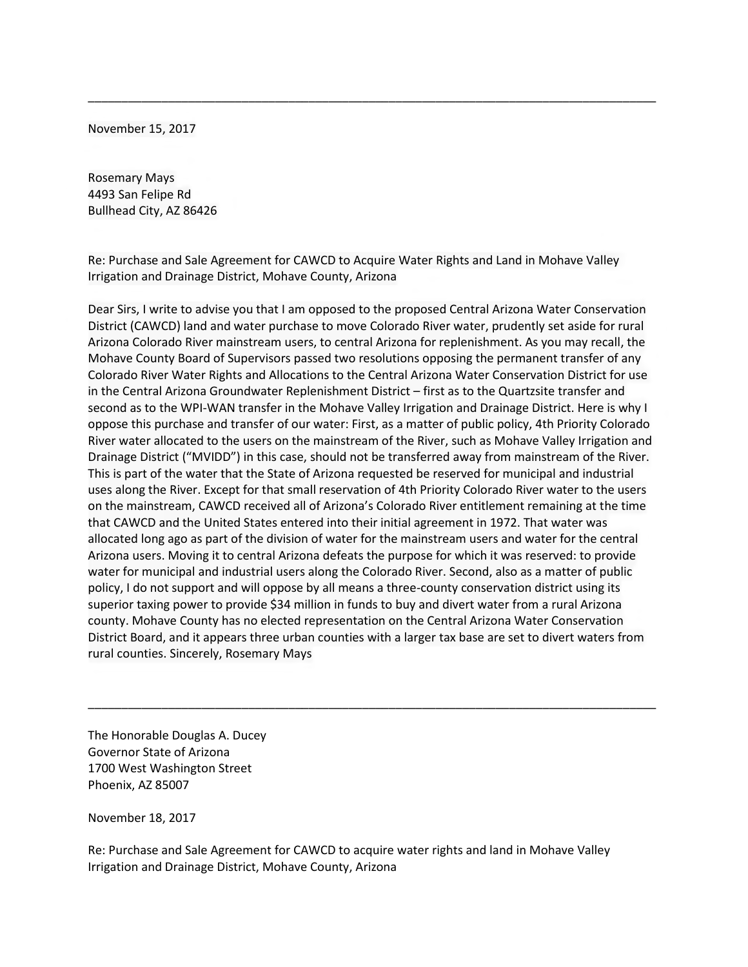November 15, 2017

Rosemary Mays 4493 San Felipe Rd Bullhead City, AZ 86426

Re: Purchase and Sale Agreement for CAWCD to Acquire Water Rights and Land in Mohave Valley Irrigation and Drainage District, Mohave County, Arizona

\_\_\_\_\_\_\_\_\_\_\_\_\_\_\_\_\_\_\_\_\_\_\_\_\_\_\_\_\_\_\_\_\_\_\_\_\_\_\_\_\_\_\_\_\_\_\_\_\_\_\_\_\_\_\_\_\_\_\_\_\_\_\_\_\_\_\_\_\_\_\_\_\_\_\_\_\_\_\_\_\_\_\_\_\_

Dear Sirs, I write to advise you that I am opposed to the proposed Central Arizona Water Conservation District (CAWCD) land and water purchase to move Colorado River water, prudently set aside for rural Arizona Colorado River mainstream users, to central Arizona for replenishment. As you may recall, the Mohave County Board of Supervisors passed two resolutions opposing the permanent transfer of any Colorado River Water Rights and Allocations to the Central Arizona Water Conservation District for use in the Central Arizona Groundwater Replenishment District – first as to the Quartzsite transfer and second as to the WPI-WAN transfer in the Mohave Valley Irrigation and Drainage District. Here is why I oppose this purchase and transfer of our water: First, as a matter of public policy, 4th Priority Colorado River water allocated to the users on the mainstream of the River, such as Mohave Valley Irrigation and Drainage District ("MVIDD") in this case, should not be transferred away from mainstream of the River. This is part of the water that the State of Arizona requested be reserved for municipal and industrial uses along the River. Except for that small reservation of 4th Priority Colorado River water to the users on the mainstream, CAWCD received all of Arizona's Colorado River entitlement remaining at the time that CAWCD and the United States entered into their initial agreement in 1972. That water was allocated long ago as part of the division of water for the mainstream users and water for the central Arizona users. Moving it to central Arizona defeats the purpose for which it was reserved: to provide water for municipal and industrial users along the Colorado River. Second, also as a matter of public policy, I do not support and will oppose by all means a three-county conservation district using its superior taxing power to provide \$34 million in funds to buy and divert water from a rural Arizona county. Mohave County has no elected representation on the Central Arizona Water Conservation District Board, and it appears three urban counties with a larger tax base are set to divert waters from rural counties. Sincerely, Rosemary Mays

\_\_\_\_\_\_\_\_\_\_\_\_\_\_\_\_\_\_\_\_\_\_\_\_\_\_\_\_\_\_\_\_\_\_\_\_\_\_\_\_\_\_\_\_\_\_\_\_\_\_\_\_\_\_\_\_\_\_\_\_\_\_\_\_\_\_\_\_\_\_\_\_\_\_\_\_\_\_\_\_\_\_\_\_\_

The Honorable Douglas A. Ducey Governor State of Arizona 1700 West Washington Street Phoenix, AZ 85007

November 18, 2017

Re: Purchase and Sale Agreement for CAWCD to acquire water rights and land in Mohave Valley Irrigation and Drainage District, Mohave County, Arizona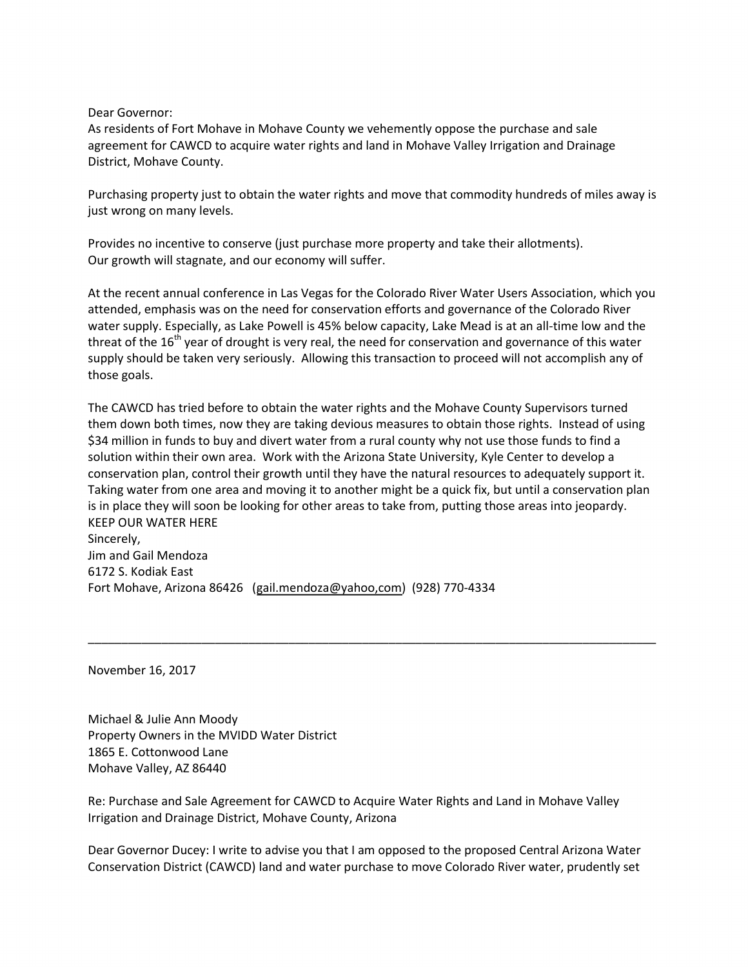## Dear Governor:

As residents of Fort Mohave in Mohave County we vehemently oppose the purchase and sale agreement for CAWCD to acquire water rights and land in Mohave Valley Irrigation and Drainage District, Mohave County.

Purchasing property just to obtain the water rights and move that commodity hundreds of miles away is just wrong on many levels.

Provides no incentive to conserve (just purchase more property and take their allotments). Our growth will stagnate, and our economy will suffer.

At the recent annual conference in Las Vegas for the Colorado River Water Users Association, which you attended, emphasis was on the need for conservation efforts and governance of the Colorado River water supply. Especially, as Lake Powell is 45% below capacity, Lake Mead is at an all-time low and the threat of the  $16<sup>th</sup>$  year of drought is very real, the need for conservation and governance of this water supply should be taken very seriously. Allowing this transaction to proceed will not accomplish any of those goals.

The CAWCD has tried before to obtain the water rights and the Mohave County Supervisors turned them down both times, now they are taking devious measures to obtain those rights. Instead of using \$34 million in funds to buy and divert water from a rural county why not use those funds to find a solution within their own area. Work with the Arizona State University, Kyle Center to develop a conservation plan, control their growth until they have the natural resources to adequately support it. Taking water from one area and moving it to another might be a quick fix, but until a conservation plan is in place they will soon be looking for other areas to take from, putting those areas into jeopardy. KEEP OUR WATER HERE Sincerely, Jim and Gail Mendoza 6172 S. Kodiak East

\_\_\_\_\_\_\_\_\_\_\_\_\_\_\_\_\_\_\_\_\_\_\_\_\_\_\_\_\_\_\_\_\_\_\_\_\_\_\_\_\_\_\_\_\_\_\_\_\_\_\_\_\_\_\_\_\_\_\_\_\_\_\_\_\_\_\_\_\_\_\_\_\_\_\_\_\_\_\_\_\_\_\_\_\_

Fort Mohave, Arizona 86426 [\(gail.mendoza@yahoo,com\)](mailto:gail.mendoza@yahoo,com) (928) 770-4334

November 16, 2017

Michael & Julie Ann Moody Property Owners in the MVIDD Water District 1865 E. Cottonwood Lane Mohave Valley, AZ 86440

Re: Purchase and Sale Agreement for CAWCD to Acquire Water Rights and Land in Mohave Valley Irrigation and Drainage District, Mohave County, Arizona

Dear Governor Ducey: I write to advise you that I am opposed to the proposed Central Arizona Water Conservation District (CAWCD) land and water purchase to move Colorado River water, prudently set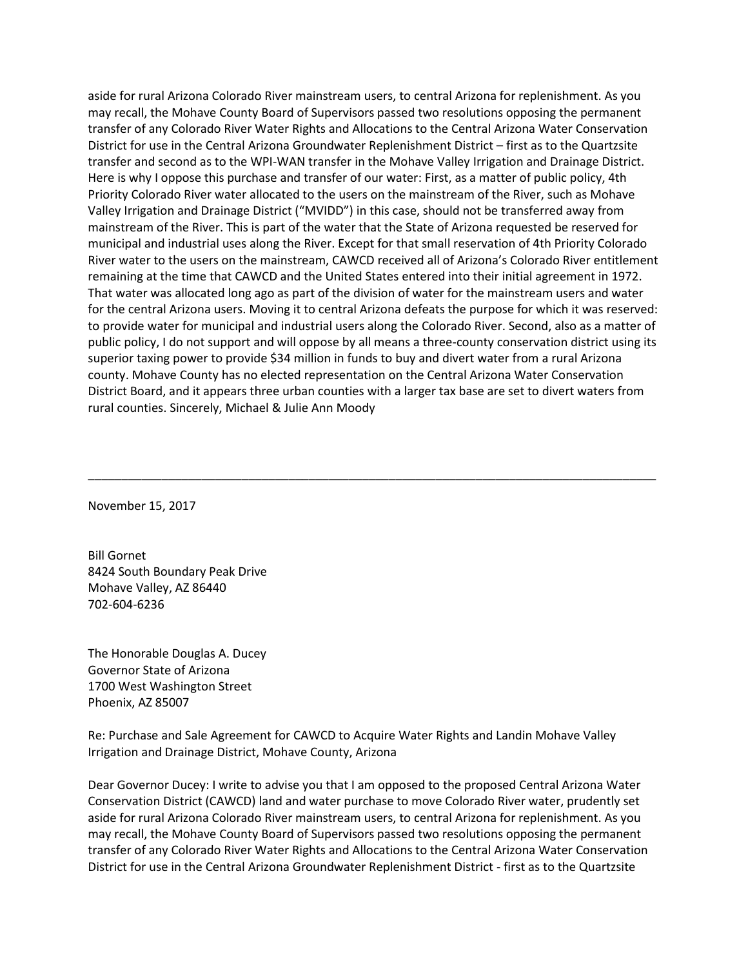aside for rural Arizona Colorado River mainstream users, to central Arizona for replenishment. As you may recall, the Mohave County Board of Supervisors passed two resolutions opposing the permanent transfer of any Colorado River Water Rights and Allocations to the Central Arizona Water Conservation District for use in the Central Arizona Groundwater Replenishment District – first as to the Quartzsite transfer and second as to the WPI-WAN transfer in the Mohave Valley Irrigation and Drainage District. Here is why I oppose this purchase and transfer of our water: First, as a matter of public policy, 4th Priority Colorado River water allocated to the users on the mainstream of the River, such as Mohave Valley Irrigation and Drainage District ("MVIDD") in this case, should not be transferred away from mainstream of the River. This is part of the water that the State of Arizona requested be reserved for municipal and industrial uses along the River. Except for that small reservation of 4th Priority Colorado River water to the users on the mainstream, CAWCD received all of Arizona's Colorado River entitlement remaining at the time that CAWCD and the United States entered into their initial agreement in 1972. That water was allocated long ago as part of the division of water for the mainstream users and water for the central Arizona users. Moving it to central Arizona defeats the purpose for which it was reserved: to provide water for municipal and industrial users along the Colorado River. Second, also as a matter of public policy, I do not support and will oppose by all means a three-county conservation district using its superior taxing power to provide \$34 million in funds to buy and divert water from a rural Arizona county. Mohave County has no elected representation on the Central Arizona Water Conservation District Board, and it appears three urban counties with a larger tax base are set to divert waters from rural counties. Sincerely, Michael & Julie Ann Moody

\_\_\_\_\_\_\_\_\_\_\_\_\_\_\_\_\_\_\_\_\_\_\_\_\_\_\_\_\_\_\_\_\_\_\_\_\_\_\_\_\_\_\_\_\_\_\_\_\_\_\_\_\_\_\_\_\_\_\_\_\_\_\_\_\_\_\_\_\_\_\_\_\_\_\_\_\_\_\_\_\_\_\_\_\_

November 15, 2017

Bill Gornet 8424 South Boundary Peak Drive Mohave Valley, AZ 86440 702-604-6236

The Honorable Douglas A. Ducey Governor State of Arizona 1700 West Washington Street Phoenix, AZ 85007

Re: Purchase and Sale Agreement for CAWCD to Acquire Water Rights and Landin Mohave Valley Irrigation and Drainage District, Mohave County, Arizona

Dear Governor Ducey: I write to advise you that I am opposed to the proposed Central Arizona Water Conservation District (CAWCD) land and water purchase to move Colorado River water, prudently set aside for rural Arizona Colorado River mainstream users, to central Arizona for replenishment. As you may recall, the Mohave County Board of Supervisors passed two resolutions opposing the permanent transfer of any Colorado River Water Rights and Allocations to the Central Arizona Water Conservation District for use in the Central Arizona Groundwater Replenishment District - first as to the Quartzsite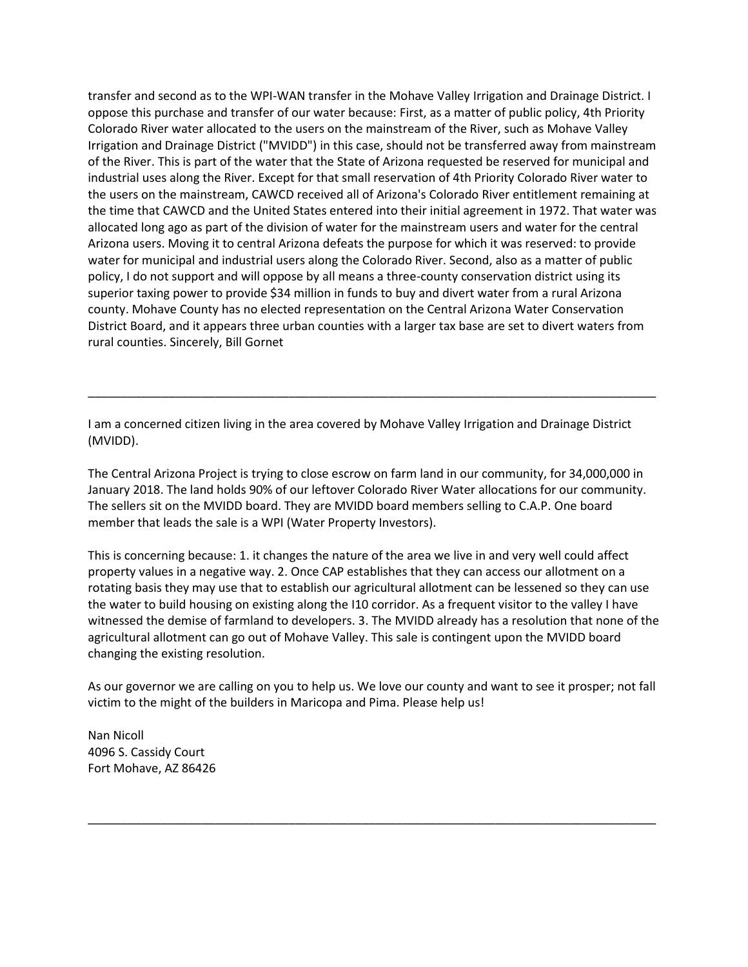transfer and second as to the WPI-WAN transfer in the Mohave Valley Irrigation and Drainage District. I oppose this purchase and transfer of our water because: First, as a matter of public policy, 4th Priority Colorado River water allocated to the users on the mainstream of the River, such as Mohave Valley Irrigation and Drainage District ("MVIDD") in this case, should not be transferred away from mainstream of the River. This is part of the water that the State of Arizona requested be reserved for municipal and industrial uses along the River. Except for that small reservation of 4th Priority Colorado River water to the users on the mainstream, CAWCD received all of Arizona's Colorado River entitlement remaining at the time that CAWCD and the United States entered into their initial agreement in 1972. That water was allocated long ago as part of the division of water for the mainstream users and water for the central Arizona users. Moving it to central Arizona defeats the purpose for which it was reserved: to provide water for municipal and industrial users along the Colorado River. Second, also as a matter of public policy, I do not support and will oppose by all means a three-county conservation district using its superior taxing power to provide \$34 million in funds to buy and divert water from a rural Arizona county. Mohave County has no elected representation on the Central Arizona Water Conservation District Board, and it appears three urban counties with a larger tax base are set to divert waters from rural counties. Sincerely, Bill Gornet

I am a concerned citizen living in the area covered by Mohave Valley Irrigation and Drainage District (MVIDD).

\_\_\_\_\_\_\_\_\_\_\_\_\_\_\_\_\_\_\_\_\_\_\_\_\_\_\_\_\_\_\_\_\_\_\_\_\_\_\_\_\_\_\_\_\_\_\_\_\_\_\_\_\_\_\_\_\_\_\_\_\_\_\_\_\_\_\_\_\_\_\_\_\_\_\_\_\_\_\_\_\_\_\_\_\_

The Central Arizona Project is trying to close escrow on farm land in our community, for 34,000,000 in January 2018. The land holds 90% of our leftover Colorado River Water allocations for our community. The sellers sit on the MVIDD board. They are MVIDD board members selling to C.A.P. One board member that leads the sale is a WPI (Water Property Investors).

This is concerning because: 1. it changes the nature of the area we live in and very well could affect property values in a negative way. 2. Once CAP establishes that they can access our allotment on a rotating basis they may use that to establish our agricultural allotment can be lessened so they can use the water to build housing on existing along the I10 corridor. As a frequent visitor to the valley I have witnessed the demise of farmland to developers. 3. The MVIDD already has a resolution that none of the agricultural allotment can go out of Mohave Valley. This sale is contingent upon the MVIDD board changing the existing resolution.

As our governor we are calling on you to help us. We love our county and want to see it prosper; not fall victim to the might of the builders in Maricopa and Pima. Please help us!

\_\_\_\_\_\_\_\_\_\_\_\_\_\_\_\_\_\_\_\_\_\_\_\_\_\_\_\_\_\_\_\_\_\_\_\_\_\_\_\_\_\_\_\_\_\_\_\_\_\_\_\_\_\_\_\_\_\_\_\_\_\_\_\_\_\_\_\_\_\_\_\_\_\_\_\_\_\_\_\_\_\_\_\_\_

Nan Nicoll 4096 S. Cassidy Court Fort Mohave, AZ 86426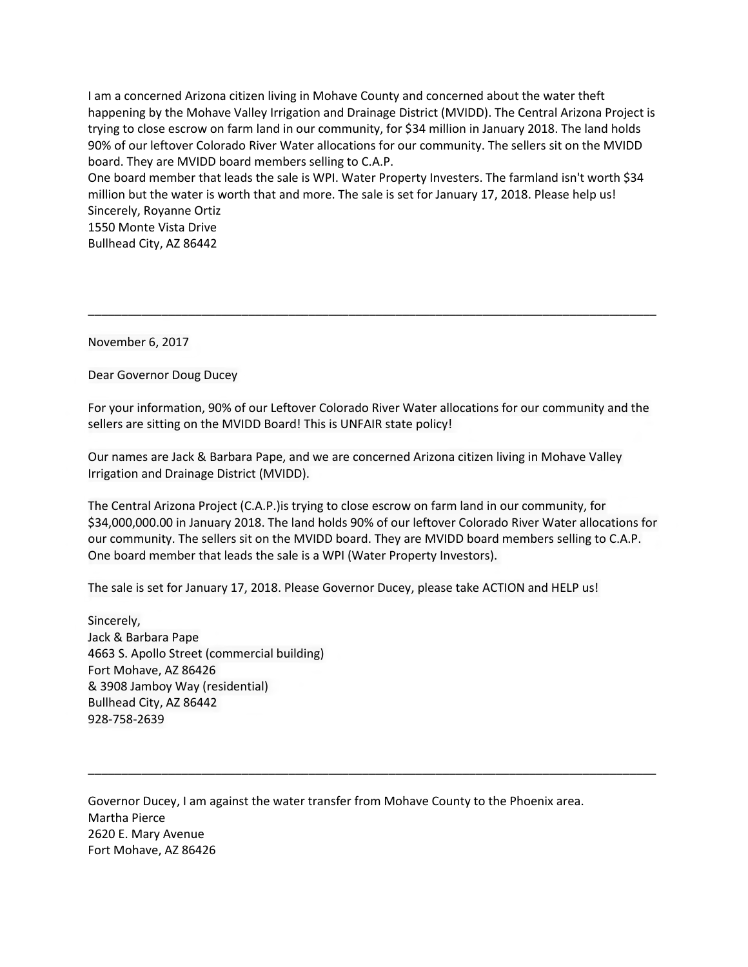I am a concerned Arizona citizen living in Mohave County and concerned about the water theft happening by the Mohave Valley Irrigation and Drainage District (MVIDD). The Central Arizona Project is trying to close escrow on farm land in our community, for \$34 million in January 2018. The land holds 90% of our leftover Colorado River Water allocations for our community. The sellers sit on the MVIDD board. They are MVIDD board members selling to C.A.P.

One board member that leads the sale is WPI. Water Property Investers. The farmland isn't worth \$34 million but the water is worth that and more. The sale is set for January 17, 2018. Please help us! Sincerely, Royanne Ortiz

1550 Monte Vista Drive Bullhead City, AZ 86442

November 6, 2017

Dear Governor Doug Ducey

For your information, 90% of our Leftover Colorado River Water allocations for our community and the sellers are sitting on the MVIDD Board! This is UNFAIR state policy!

\_\_\_\_\_\_\_\_\_\_\_\_\_\_\_\_\_\_\_\_\_\_\_\_\_\_\_\_\_\_\_\_\_\_\_\_\_\_\_\_\_\_\_\_\_\_\_\_\_\_\_\_\_\_\_\_\_\_\_\_\_\_\_\_\_\_\_\_\_\_\_\_\_\_\_\_\_\_\_\_\_\_\_\_\_

Our names are Jack & Barbara Pape, and we are concerned Arizona citizen living in Mohave Valley Irrigation and Drainage District (MVIDD).

The Central Arizona Project (C.A.P.)is trying to close escrow on farm land in our community, for \$34,000,000.00 in January 2018. The land holds 90% of our leftover Colorado River Water allocations for our community. The sellers sit on the MVIDD board. They are MVIDD board members selling to C.A.P. One board member that leads the sale is a WPI (Water Property Investors).

\_\_\_\_\_\_\_\_\_\_\_\_\_\_\_\_\_\_\_\_\_\_\_\_\_\_\_\_\_\_\_\_\_\_\_\_\_\_\_\_\_\_\_\_\_\_\_\_\_\_\_\_\_\_\_\_\_\_\_\_\_\_\_\_\_\_\_\_\_\_\_\_\_\_\_\_\_\_\_\_\_\_\_\_\_

The sale is set for January 17, 2018. Please Governor Ducey, please take ACTION and HELP us!

Sincerely, Jack & Barbara Pape 4663 S. Apollo Street (commercial building) Fort Mohave, AZ 86426 & 3908 Jamboy Way (residential) Bullhead City, AZ 86442 928-758-2639

Governor Ducey, I am against the water transfer from Mohave County to the Phoenix area. Martha Pierce 2620 E. Mary Avenue Fort Mohave, AZ 86426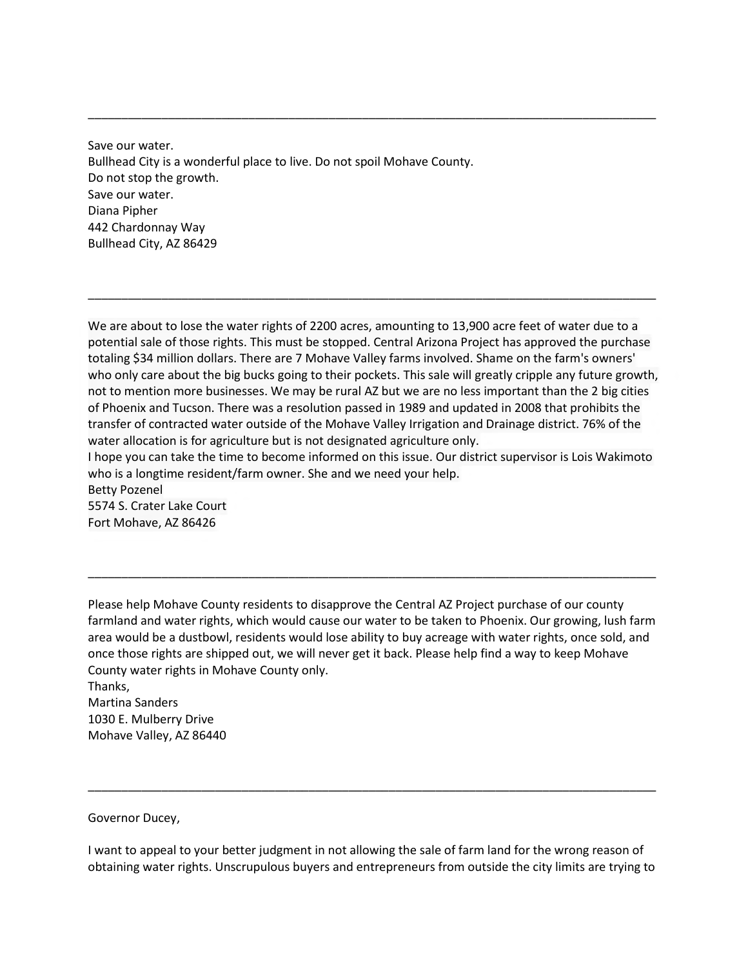Save our water. Bullhead City is a wonderful place to live. Do not spoil Mohave County. Do not stop the growth. Save our water. Diana Pipher 442 Chardonnay Way Bullhead City, AZ 86429

We are about to lose the water rights of 2200 acres, amounting to 13,900 acre feet of water due to a potential sale of those rights. This must be stopped. Central Arizona Project has approved the purchase totaling \$34 million dollars. There are 7 Mohave Valley farms involved. Shame on the farm's owners' who only care about the big bucks going to their pockets. This sale will greatly cripple any future growth, not to mention more businesses. We may be rural AZ but we are no less important than the 2 big cities of Phoenix and Tucson. There was a resolution passed in 1989 and updated in 2008 that prohibits the transfer of contracted water outside of the Mohave Valley Irrigation and Drainage district. 76% of the water allocation is for agriculture but is not designated agriculture only. I hope you can take the time to become informed on this issue. Our district supervisor is Lois Wakimoto

\_\_\_\_\_\_\_\_\_\_\_\_\_\_\_\_\_\_\_\_\_\_\_\_\_\_\_\_\_\_\_\_\_\_\_\_\_\_\_\_\_\_\_\_\_\_\_\_\_\_\_\_\_\_\_\_\_\_\_\_\_\_\_\_\_\_\_\_\_\_\_\_\_\_\_\_\_\_\_\_\_\_\_\_\_

\_\_\_\_\_\_\_\_\_\_\_\_\_\_\_\_\_\_\_\_\_\_\_\_\_\_\_\_\_\_\_\_\_\_\_\_\_\_\_\_\_\_\_\_\_\_\_\_\_\_\_\_\_\_\_\_\_\_\_\_\_\_\_\_\_\_\_\_\_\_\_\_\_\_\_\_\_\_\_\_\_\_\_\_\_

who is a longtime resident/farm owner. She and we need your help. Betty Pozenel

5574 S. Crater Lake Court Fort Mohave, AZ 86426

Please help Mohave County residents to disapprove the Central AZ Project purchase of our county farmland and water rights, which would cause our water to be taken to Phoenix. Our growing, lush farm area would be a dustbowl, residents would lose ability to buy acreage with water rights, once sold, and once those rights are shipped out, we will never get it back. Please help find a way to keep Mohave County water rights in Mohave County only. Thanks,

\_\_\_\_\_\_\_\_\_\_\_\_\_\_\_\_\_\_\_\_\_\_\_\_\_\_\_\_\_\_\_\_\_\_\_\_\_\_\_\_\_\_\_\_\_\_\_\_\_\_\_\_\_\_\_\_\_\_\_\_\_\_\_\_\_\_\_\_\_\_\_\_\_\_\_\_\_\_\_\_\_\_\_\_\_

Martina Sanders 1030 E. Mulberry Drive Mohave Valley, AZ 86440

Governor Ducey,

I want to appeal to your better judgment in not allowing the sale of farm land for the wrong reason of obtaining water rights. Unscrupulous buyers and entrepreneurs from outside the city limits are trying to

\_\_\_\_\_\_\_\_\_\_\_\_\_\_\_\_\_\_\_\_\_\_\_\_\_\_\_\_\_\_\_\_\_\_\_\_\_\_\_\_\_\_\_\_\_\_\_\_\_\_\_\_\_\_\_\_\_\_\_\_\_\_\_\_\_\_\_\_\_\_\_\_\_\_\_\_\_\_\_\_\_\_\_\_\_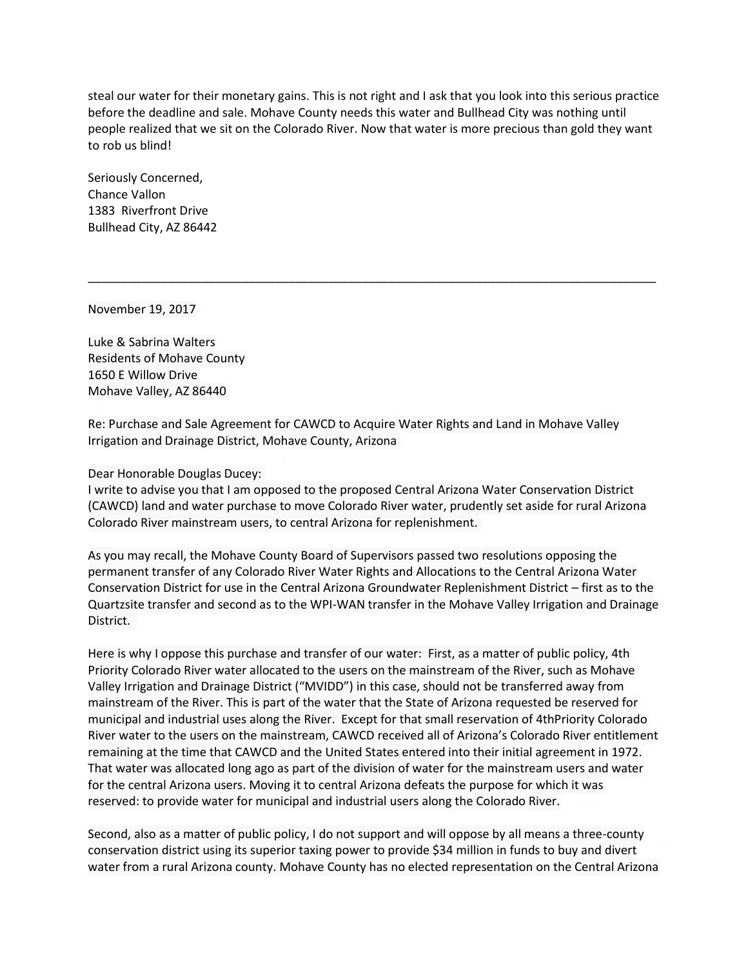steal our water for their monetary gains. This is not right and I ask that you look into this serious practice before the deadline and sale. Mohave County needs this water and Bullhead City was nothing until people realized that we sit on the Colorado River. Now that water is more precious than gold they want to rob us blind!

\_\_\_\_\_\_\_\_\_\_\_\_\_\_\_\_\_\_\_\_\_\_\_\_\_\_\_\_\_\_\_\_\_\_\_\_\_\_\_\_\_\_\_\_\_\_\_\_\_\_\_\_\_\_\_\_\_\_\_\_\_\_\_\_\_\_\_\_\_\_\_\_\_\_\_\_\_\_\_\_\_\_\_\_\_

Seriously Concerned, Chance Vallon 1383 Riverfront Drive Bullhead City, AZ 86442

November 19, 2017

Luke & Sabrina Walters Residents of Mohave County 1650 E Willow Drive Mohave Valley, AZ 86440

Re: Purchase and Sale Agreement for CAWCD to Acquire Water Rights and Land in Mohave Valley Irrigation and Drainage District, Mohave County, Arizona

Dear Honorable Douglas Ducey:

I write to advise you that I am opposed to the proposed Central Arizona Water Conservation District (CAWCD) land and water purchase to move Colorado River water, prudently set aside for rural Arizona Colorado River mainstream users, to central Arizona for replenishment.

As you may recall, the Mohave County Board of Supervisors passed two resolutions opposing the permanent transfer of any Colorado River Water Rights and Allocations to the Central Arizona Water Conservation District for use in the Central Arizona Groundwater Replenishment District – first as to the Quartzsite transfer and second as to the WPI-WAN transfer in the Mohave Valley Irrigation and Drainage District.

Here is why I oppose this purchase and transfer of our water: First, as a matter of public policy, 4th Priority Colorado River water allocated to the users on the mainstream of the River, such as Mohave Valley Irrigation and Drainage District ("MVIDD") in this case, should not be transferred away from mainstream of the River. This is part of the water that the State of Arizona requested be reserved for municipal and industrial uses along the River. Except for that small reservation of 4thPriority Colorado River water to the users on the mainstream, CAWCD received all of Arizona's Colorado River entitlement remaining at the time that CAWCD and the United States entered into their initial agreement in 1972. That water was allocated long ago as part of the division of water for the mainstream users and water for the central Arizona users. Moving it to central Arizona defeats the purpose for which it was reserved: to provide water for municipal and industrial users along the Colorado River.

Second, also as a matter of public policy, I do not support and will oppose by all means a three-county conservation district using its superior taxing power to provide \$34 million in funds to buy and divert water from a rural Arizona county. Mohave County has no elected representation on the Central Arizona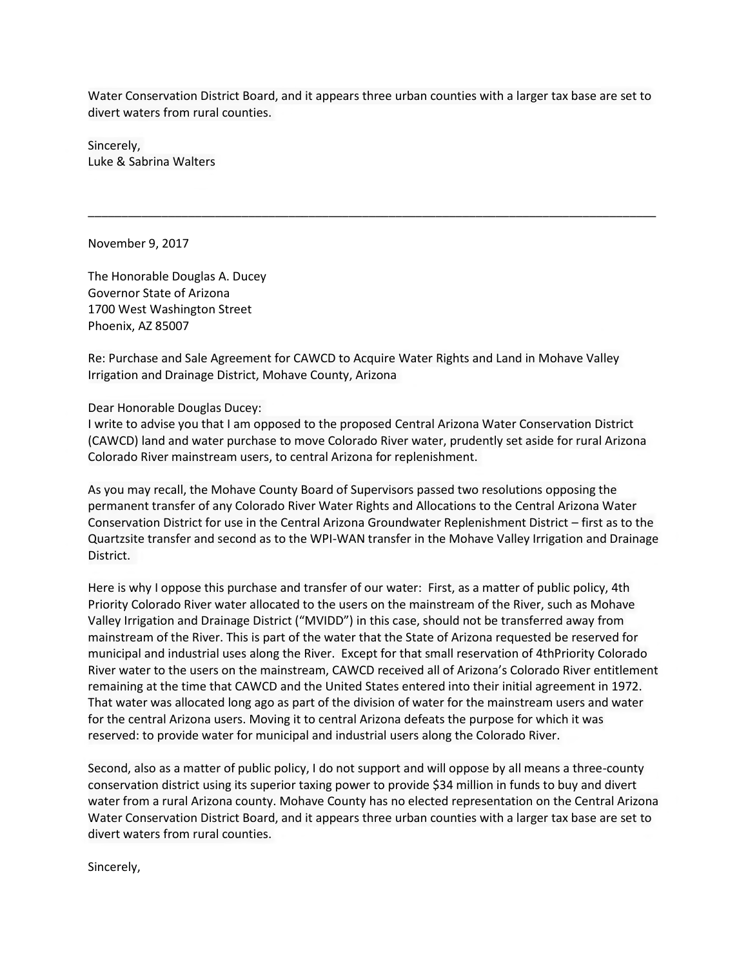Water Conservation District Board, and it appears three urban counties with a larger tax base are set to divert waters from rural counties.

\_\_\_\_\_\_\_\_\_\_\_\_\_\_\_\_\_\_\_\_\_\_\_\_\_\_\_\_\_\_\_\_\_\_\_\_\_\_\_\_\_\_\_\_\_\_\_\_\_\_\_\_\_\_\_\_\_\_\_\_\_\_\_\_\_\_\_\_\_\_\_\_\_\_\_\_\_\_\_\_\_\_\_\_\_

Sincerely, Luke & Sabrina Walters

November 9, 2017

The Honorable Douglas A. Ducey Governor State of Arizona 1700 West Washington Street Phoenix, AZ 85007

Re: Purchase and Sale Agreement for CAWCD to Acquire Water Rights and Land in Mohave Valley Irrigation and Drainage District, Mohave County, Arizona

Dear Honorable Douglas Ducey:

I write to advise you that I am opposed to the proposed Central Arizona Water Conservation District (CAWCD) land and water purchase to move Colorado River water, prudently set aside for rural Arizona Colorado River mainstream users, to central Arizona for replenishment.

As you may recall, the Mohave County Board of Supervisors passed two resolutions opposing the permanent transfer of any Colorado River Water Rights and Allocations to the Central Arizona Water Conservation District for use in the Central Arizona Groundwater Replenishment District – first as to the Quartzsite transfer and second as to the WPI-WAN transfer in the Mohave Valley Irrigation and Drainage District.

Here is why I oppose this purchase and transfer of our water: First, as a matter of public policy, 4th Priority Colorado River water allocated to the users on the mainstream of the River, such as Mohave Valley Irrigation and Drainage District ("MVIDD") in this case, should not be transferred away from mainstream of the River. This is part of the water that the State of Arizona requested be reserved for municipal and industrial uses along the River. Except for that small reservation of 4thPriority Colorado River water to the users on the mainstream, CAWCD received all of Arizona's Colorado River entitlement remaining at the time that CAWCD and the United States entered into their initial agreement in 1972. That water was allocated long ago as part of the division of water for the mainstream users and water for the central Arizona users. Moving it to central Arizona defeats the purpose for which it was reserved: to provide water for municipal and industrial users along the Colorado River.

Second, also as a matter of public policy, I do not support and will oppose by all means a three-county conservation district using its superior taxing power to provide \$34 million in funds to buy and divert water from a rural Arizona county. Mohave County has no elected representation on the Central Arizona Water Conservation District Board, and it appears three urban counties with a larger tax base are set to divert waters from rural counties.

Sincerely,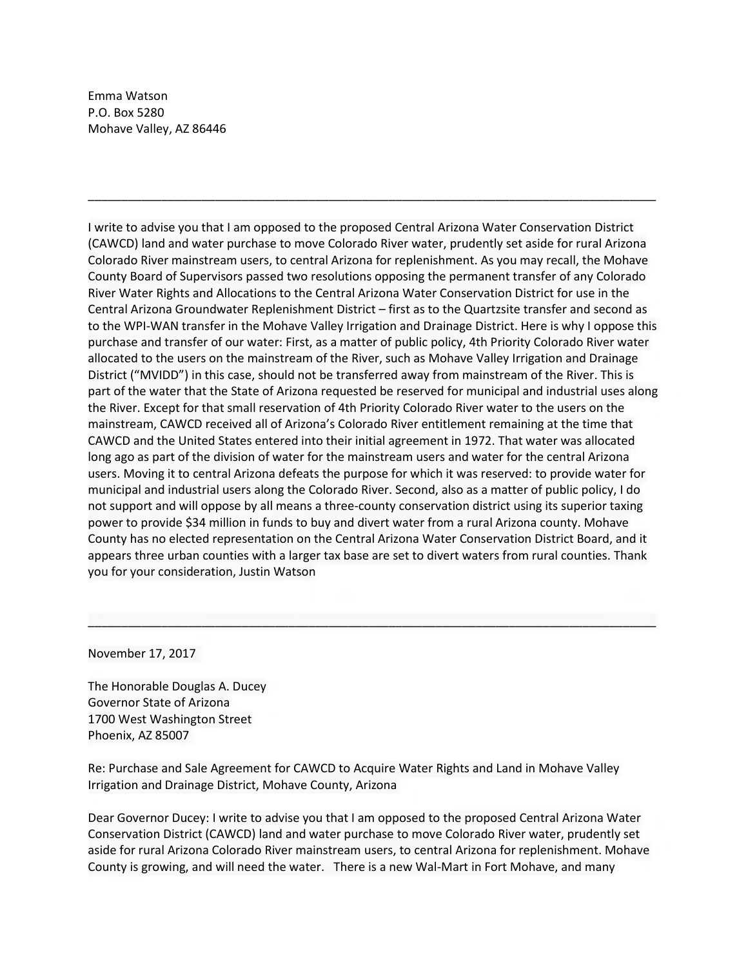Emma Watson P.O. Box 5280 Mohave Valley, AZ 86446

I write to advise you that I am opposed to the proposed Central Arizona Water Conservation District (CAWCD) land and water purchase to move Colorado River water, prudently set aside for rural Arizona Colorado River mainstream users, to central Arizona for replenishment. As you may recall, the Mohave County Board of Supervisors passed two resolutions opposing the permanent transfer of any Colorado River Water Rights and Allocations to the Central Arizona Water Conservation District for use in the Central Arizona Groundwater Replenishment District – first as to the Quartzsite transfer and second as to the WPI-WAN transfer in the Mohave Valley Irrigation and Drainage District. Here is why I oppose this purchase and transfer of our water: First, as a matter of public policy, 4th Priority Colorado River water allocated to the users on the mainstream of the River, such as Mohave Valley Irrigation and Drainage District ("MVIDD") in this case, should not be transferred away from mainstream of the River. This is part of the water that the State of Arizona requested be reserved for municipal and industrial uses along the River. Except for that small reservation of 4th Priority Colorado River water to the users on the mainstream, CAWCD received all of Arizona's Colorado River entitlement remaining at the time that CAWCD and the United States entered into their initial agreement in 1972. That water was allocated long ago as part of the division of water for the mainstream users and water for the central Arizona users. Moving it to central Arizona defeats the purpose for which it was reserved: to provide water for municipal and industrial users along the Colorado River. Second, also as a matter of public policy, I do not support and will oppose by all means a three-county conservation district using its superior taxing power to provide \$34 million in funds to buy and divert water from a rural Arizona county. Mohave County has no elected representation on the Central Arizona Water Conservation District Board, and it appears three urban counties with a larger tax base are set to divert waters from rural counties. Thank you for your consideration, Justin Watson

\_\_\_\_\_\_\_\_\_\_\_\_\_\_\_\_\_\_\_\_\_\_\_\_\_\_\_\_\_\_\_\_\_\_\_\_\_\_\_\_\_\_\_\_\_\_\_\_\_\_\_\_\_\_\_\_\_\_\_\_\_\_\_\_\_\_\_\_\_\_\_\_\_\_\_\_\_\_\_\_\_\_\_\_\_

November 17, 2017

The Honorable Douglas A. Ducey Governor State of Arizona 1700 West Washington Street Phoenix, AZ 85007

Re: Purchase and Sale Agreement for CAWCD to Acquire Water Rights and Land in Mohave Valley Irrigation and Drainage District, Mohave County, Arizona

Dear Governor Ducey: I write to advise you that I am opposed to the proposed Central Arizona Water Conservation District (CAWCD) land and water purchase to move Colorado River water, prudently set aside for rural Arizona Colorado River mainstream users, to central Arizona for replenishment. Mohave County is growing, and will need the water. There is a new Wal-Mart in Fort Mohave, and many

 $\frac{1}{2}$  ,  $\frac{1}{2}$  ,  $\frac{1}{2}$  ,  $\frac{1}{2}$  ,  $\frac{1}{2}$  ,  $\frac{1}{2}$  ,  $\frac{1}{2}$  ,  $\frac{1}{2}$  ,  $\frac{1}{2}$  ,  $\frac{1}{2}$  ,  $\frac{1}{2}$  ,  $\frac{1}{2}$  ,  $\frac{1}{2}$  ,  $\frac{1}{2}$  ,  $\frac{1}{2}$  ,  $\frac{1}{2}$  ,  $\frac{1}{2}$  ,  $\frac{1}{2}$  ,  $\frac{1$